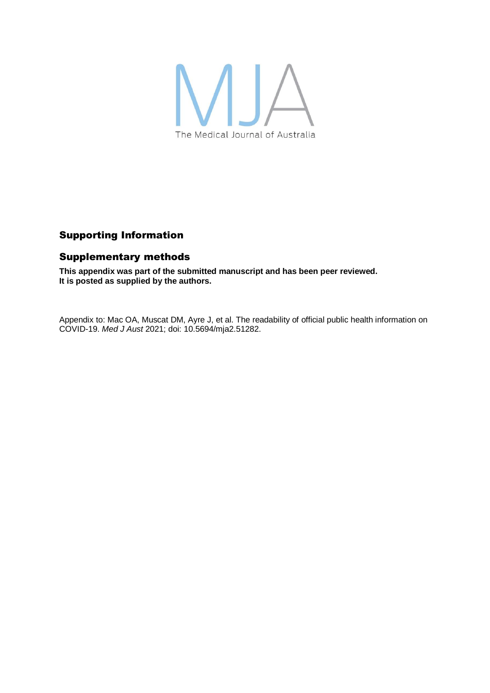

# Supporting Information

## Supplementary methods

**This appendix was part of the submitted manuscript and has been peer reviewed. It is posted as supplied by the authors.**

Appendix to: Mac OA, Muscat DM, Ayre J, et al. The readability of official public health information on COVID-19. *Med J Aust* 2021; doi: 10.5694/mja2.51282.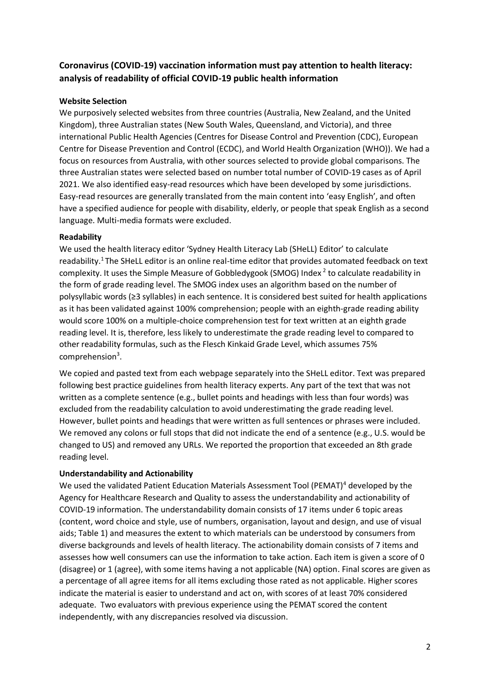# **Coronavirus (COVID-19) vaccination information must pay attention to health literacy: analysis of readability of official COVID-19 public health information**

#### **Website Selection**

We purposively selected websites from three countries (Australia, New Zealand, and the United Kingdom), three Australian states (New South Wales, Queensland, and Victoria), and three international Public Health Agencies (Centres for Disease Control and Prevention (CDC), European Centre for Disease Prevention and Control (ECDC), and World Health Organization (WHO)). We had a focus on resources from Australia, with other sources selected to provide global comparisons. The three Australian states were selected based on number total number of COVID-19 cases as of April 2021. We also identified easy-read resources which have been developed by some jurisdictions. Easy-read resources are generally translated from the main content into 'easy English', and often have a specified audience for people with disability, elderly, or people that speak English as a second language. Multi-media formats were excluded.

### **Readability**

We used the health literacy editor 'Sydney Health Literacy Lab (SHeLL) Editor' to calculate readability.<sup>1</sup> The SHeLL editor is an online real-time editor that provides automated feedback on text complexity. It uses the Simple Measure of Gobbledygook (SMOG) Index  $2$  to calculate readability in the form of grade reading level. The SMOG index uses an algorithm based on the number of polysyllabic words (≥3 syllables) in each sentence. It is considered best suited for health applications as it has been validated against 100% comprehension; people with an eighth-grade reading ability would score 100% on a multiple-choice comprehension test for text written at an eighth grade reading level. It is, therefore, less likely to underestimate the grade reading level to compared to other readability formulas, such as the Flesch Kinkaid Grade Level, which assumes 75% comprehension<sup>3</sup>.

We copied and pasted text from each webpage separately into the SHeLL editor. Text was prepared following best practice guidelines from health literacy experts. Any part of the text that was not written as a complete sentence (e.g., bullet points and headings with less than four words) was excluded from the readability calculation to avoid underestimating the grade reading level. However, bullet points and headings that were written as full sentences or phrases were included. We removed any colons or full stops that did not indicate the end of a sentence (e.g., U.S. would be changed to US) and removed any URLs. We reported the proportion that exceeded an 8th grade reading level.

#### **Understandability and Actionability**

We used the validated Patient Education Materials Assessment Tool (PEMAT)<sup>4</sup> developed by the Agency for Healthcare Research and Quality to assess the understandability and actionability of COVID-19 information. The understandability domain consists of 17 items under 6 topic areas (content, word choice and style, use of numbers, organisation, layout and design, and use of visual aids; Table 1) and measures the extent to which materials can be understood by consumers from diverse backgrounds and levels of health literacy. The actionability domain consists of 7 items and assesses how well consumers can use the information to take action. Each item is given a score of 0 (disagree) or 1 (agree), with some items having a not applicable (NA) option. Final scores are given as a percentage of all agree items for all items excluding those rated as not applicable. Higher scores indicate the material is easier to understand and act on, with scores of at least 70% considered adequate. Two evaluators with previous experience using the PEMAT scored the content independently, with any discrepancies resolved via discussion.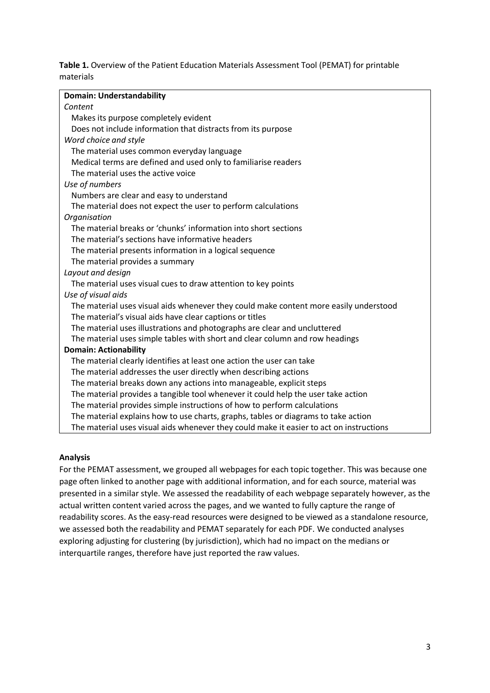**Table 1.** Overview of the Patient Education Materials Assessment Tool (PEMAT) for printable materials

| <b>Domain: Understandability</b>                                                        |
|-----------------------------------------------------------------------------------------|
| Content                                                                                 |
| Makes its purpose completely evident                                                    |
| Does not include information that distracts from its purpose                            |
| Word choice and style                                                                   |
| The material uses common everyday language                                              |
| Medical terms are defined and used only to familiarise readers                          |
| The material uses the active voice                                                      |
| Use of numbers                                                                          |
| Numbers are clear and easy to understand                                                |
| The material does not expect the user to perform calculations                           |
| Organisation                                                                            |
| The material breaks or 'chunks' information into short sections                         |
| The material's sections have informative headers                                        |
| The material presents information in a logical sequence                                 |
| The material provides a summary                                                         |
| Layout and design                                                                       |
| The material uses visual cues to draw attention to key points                           |
| Use of visual aids                                                                      |
| The material uses visual aids whenever they could make content more easily understood   |
| The material's visual aids have clear captions or titles                                |
| The material uses illustrations and photographs are clear and uncluttered               |
| The material uses simple tables with short and clear column and row headings            |
| <b>Domain: Actionability</b>                                                            |
| The material clearly identifies at least one action the user can take                   |
| The material addresses the user directly when describing actions                        |
| The material breaks down any actions into manageable, explicit steps                    |
| The material provides a tangible tool whenever it could help the user take action       |
| The material provides simple instructions of how to perform calculations                |
| The material explains how to use charts, graphs, tables or diagrams to take action      |
| The material uses visual aids whenever they could make it easier to act on instructions |
|                                                                                         |

#### **Analysis**

For the PEMAT assessment, we grouped all webpages for each topic together. This was because one page often linked to another page with additional information, and for each source, material was presented in a similar style. We assessed the readability of each webpage separately however, as the actual written content varied across the pages, and we wanted to fully capture the range of readability scores. As the easy-read resources were designed to be viewed as a standalone resource, we assessed both the readability and PEMAT separately for each PDF. We conducted analyses exploring adjusting for clustering (by jurisdiction), which had no impact on the medians or interquartile ranges, therefore have just reported the raw values.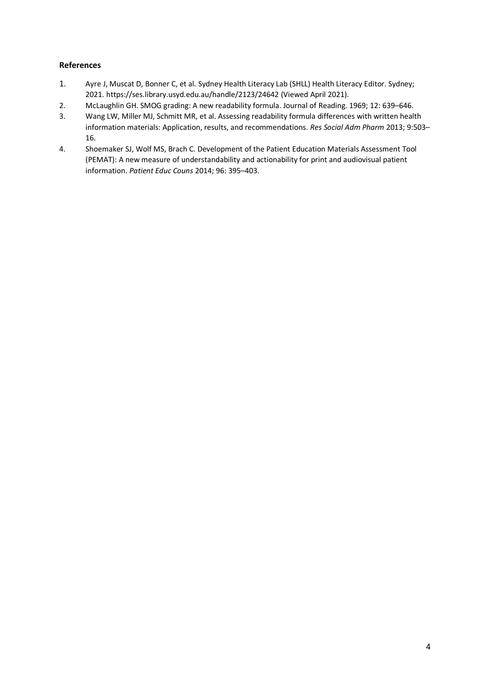#### **References**

- 1. Ayre J, Muscat D, Bonner C, et al. Sydney Health Literacy Lab (SHLL) Health Literacy Editor. Sydney; 2021. https://ses.library.usyd.edu.au/handle/2123/24642 (Viewed April 2021).
- 2. McLaughlin GH. SMOG grading: A new readability formula. Journal of Reading. 1969; 12: 639–646.
- 3. Wang LW, Miller MJ, Schmitt MR, et al. Assessing readability formula differences with written health information materials: Application, results, and recommendations. *Res Social Adm Pharm* 2013; 9:503– 16.
- 4. Shoemaker SJ, Wolf MS, Brach C. Development of the Patient Education Materials Assessment Tool (PEMAT): A new measure of understandability and actionability for print and audiovisual patient information. *Patient Educ Couns* 2014; 96: 395–403.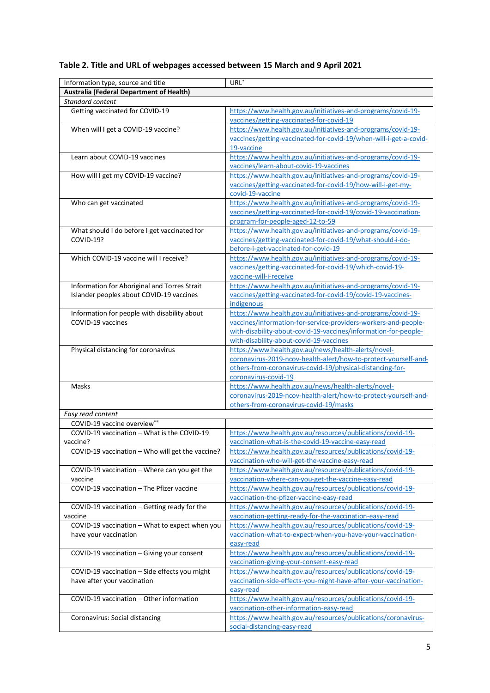# **Table 2. Title and URL of webpages accessed between 15 March and 9 April 2021**

| Information type, source and title               | URL <sup>*</sup>                                                  |
|--------------------------------------------------|-------------------------------------------------------------------|
| Australia (Federal Department of Health)         |                                                                   |
| Standard content                                 |                                                                   |
| Getting vaccinated for COVID-19                  | https://www.health.gov.au/initiatives-and-programs/covid-19-      |
|                                                  | vaccines/getting-vaccinated-for-covid-19                          |
| When will I get a COVID-19 vaccine?              | https://www.health.gov.au/initiatives-and-programs/covid-19-      |
|                                                  | vaccines/getting-vaccinated-for-covid-19/when-will-i-get-a-covid- |
|                                                  | 19-vaccine                                                        |
| Learn about COVID-19 vaccines                    | https://www.health.gov.au/initiatives-and-programs/covid-19-      |
|                                                  | vaccines/learn-about-covid-19-vaccines                            |
| How will I get my COVID-19 vaccine?              | https://www.health.gov.au/initiatives-and-programs/covid-19-      |
|                                                  | vaccines/getting-vaccinated-for-covid-19/how-will-i-get-my-       |
|                                                  | covid-19-vaccine                                                  |
| Who can get vaccinated                           | https://www.health.gov.au/initiatives-and-programs/covid-19-      |
|                                                  | vaccines/getting-vaccinated-for-covid-19/covid-19-vaccination-    |
|                                                  | program-for-people-aged-12-to-59                                  |
| What should I do before I get vaccinated for     | https://www.health.gov.au/initiatives-and-programs/covid-19-      |
| COVID-19?                                        | vaccines/getting-vaccinated-for-covid-19/what-should-i-do-        |
|                                                  | before-i-get-vaccinated-for-covid-19                              |
| Which COVID-19 vaccine will I receive?           | https://www.health.gov.au/initiatives-and-programs/covid-19-      |
|                                                  | vaccines/getting-vaccinated-for-covid-19/which-covid-19-          |
|                                                  | vaccine-will-i-receive                                            |
| Information for Aboriginal and Torres Strait     | https://www.health.gov.au/initiatives-and-programs/covid-19-      |
| Islander peoples about COVID-19 vaccines         | vaccines/getting-vaccinated-for-covid-19/covid-19-vaccines-       |
|                                                  | indigenous                                                        |
| Information for people with disability about     | https://www.health.gov.au/initiatives-and-programs/covid-19-      |
| COVID-19 vaccines                                | vaccines/information-for-service-providers-workers-and-people-    |
|                                                  | with-disability-about-covid-19-vaccines/information-for-people-   |
|                                                  | with-disability-about-covid-19-vaccines                           |
| Physical distancing for coronavirus              | https://www.health.gov.au/news/health-alerts/novel-               |
|                                                  | coronavirus-2019-ncov-health-alert/how-to-protect-yourself-and-   |
|                                                  | others-from-coronavirus-covid-19/physical-distancing-for-         |
|                                                  | coronavirus-covid-19                                              |
| Masks                                            | https://www.health.gov.au/news/health-alerts/novel-               |
|                                                  | coronavirus-2019-ncov-health-alert/how-to-protect-yourself-and-   |
|                                                  | others-from-coronavirus-covid-19/masks                            |
| Easy read content                                |                                                                   |
| <b>COVID-19 vaccine overview**</b>               |                                                                   |
| COVID-19 vaccination - What is the COVID-19      | https://www.health.gov.au/resources/publications/covid-19-        |
| vaccine?                                         | vaccination-what-is-the-covid-19-vaccine-easy-read                |
| COVID-19 vaccination - Who will get the vaccine? | https://www.health.gov.au/resources/publications/covid-19-        |
|                                                  | vaccination-who-will-get-the-vaccine-easy-read                    |
| COVID-19 vaccination - Where can you get the     | https://www.health.gov.au/resources/publications/covid-19-        |
| vaccine                                          | vaccination-where-can-you-get-the-vaccine-easy-read               |
| COVID-19 vaccination - The Pfizer vaccine        | https://www.health.gov.au/resources/publications/covid-19-        |
|                                                  | vaccination-the-pfizer-vaccine-easy-read                          |
| COVID-19 vaccination - Getting ready for the     | https://www.health.gov.au/resources/publications/covid-19-        |
| vaccine                                          | vaccination-getting-ready-for-the-vaccination-easy-read           |
| COVID-19 vaccination - What to expect when you   | https://www.health.gov.au/resources/publications/covid-19-        |
| have your vaccination                            | vaccination-what-to-expect-when-you-have-your-vaccination-        |
|                                                  | easy-read                                                         |
| COVID-19 vaccination - Giving your consent       | https://www.health.gov.au/resources/publications/covid-19-        |
|                                                  | vaccination-giving-your-consent-easy-read                         |
| COVID-19 vaccination - Side effects you might    | https://www.health.gov.au/resources/publications/covid-19-        |
| have after your vaccination                      | vaccination-side-effects-you-might-have-after-your-vaccination-   |
|                                                  | easy-read                                                         |
| COVID-19 vaccination - Other information         | https://www.health.gov.au/resources/publications/covid-19-        |
|                                                  | vaccination-other-information-easy-read                           |
| Coronavirus: Social distancing                   | https://www.health.gov.au/resources/publications/coronavirus-     |
|                                                  | social-distancing-easy-read                                       |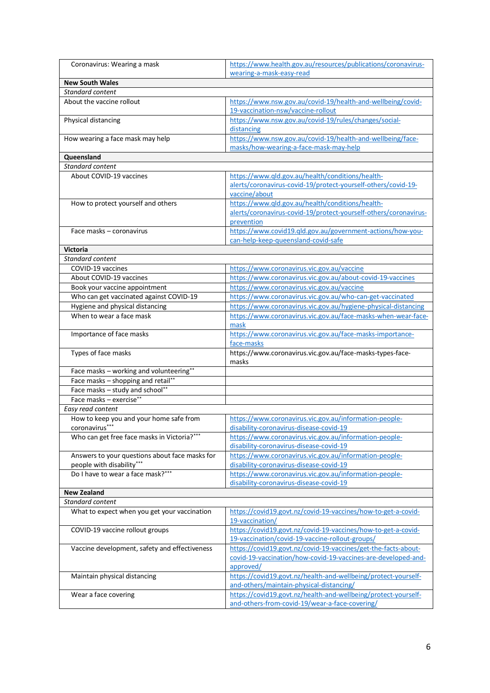| Coronavirus: Wearing a mask                    | https://www.health.gov.au/resources/publications/coronavirus-                    |
|------------------------------------------------|----------------------------------------------------------------------------------|
|                                                | wearing-a-mask-easy-read                                                         |
| <b>New South Wales</b>                         |                                                                                  |
| Standard content                               |                                                                                  |
| About the vaccine rollout                      | https://www.nsw.gov.au/covid-19/health-and-wellbeing/covid-                      |
|                                                | 19-vaccination-nsw/vaccine-rollout                                               |
| Physical distancing                            | https://www.nsw.gov.au/covid-19/rules/changes/social-                            |
|                                                | distancing<br>https://www.nsw.gov.au/covid-19/health-and-wellbeing/face-         |
| How wearing a face mask may help               | masks/how-wearing-a-face-mask-may-help                                           |
| Queensland                                     |                                                                                  |
| Standard content                               |                                                                                  |
| About COVID-19 vaccines                        | https://www.qld.gov.au/health/conditions/health-                                 |
|                                                | alerts/coronavirus-covid-19/protect-yourself-others/covid-19-                    |
|                                                | vaccine/about                                                                    |
| How to protect yourself and others             | https://www.qld.gov.au/health/conditions/health-                                 |
|                                                | alerts/coronavirus-covid-19/protect-yourself-others/coronavirus-                 |
|                                                | prevention                                                                       |
| Face masks - coronavirus                       | https://www.covid19.gld.gov.au/government-actions/how-you-                       |
|                                                | can-help-keep-queensland-covid-safe                                              |
| <b>Victoria</b>                                |                                                                                  |
| Standard content                               |                                                                                  |
| COVID-19 vaccines                              | https://www.coronavirus.vic.gov.au/vaccine                                       |
| About COVID-19 vaccines                        | https://www.coronavirus.vic.gov.au/about-covid-19-vaccines                       |
| Book your vaccine appointment                  | https://www.coronavirus.vic.gov.au/vaccine                                       |
| Who can get vaccinated against COVID-19        | https://www.coronavirus.vic.gov.au/who-can-get-vaccinated                        |
| Hygiene and physical distancing                | https://www.coronavirus.vic.gov.au/hygiene-physical-distancing                   |
| When to wear a face mask                       | https://www.coronavirus.vic.gov.au/face-masks-when-wear-face-                    |
|                                                | mask                                                                             |
| Importance of face masks                       | https://www.coronavirus.vic.gov.au/face-masks-importance-                        |
| Types of face masks                            | face-masks<br>https://www.coronavirus.vic.gov.au/face-masks-types-face-          |
|                                                | masks                                                                            |
| Face masks - working and volunteering**        |                                                                                  |
| Face masks - shopping and retail**             |                                                                                  |
| Face masks - study and school**                |                                                                                  |
| Face masks - exercise**                        |                                                                                  |
| Easy read content                              |                                                                                  |
| How to keep you and your home safe from        | https://www.coronavirus.vic.gov.au/information-people-                           |
| coronavirus***                                 | disability-coronavirus-disease-covid-19                                          |
| Who can get free face masks in Victoria?***    | https://www.coronavirus.vic.gov.au/information-people-                           |
|                                                | disability-coronavirus-disease-covid-19                                          |
| Answers to your questions about face masks for | https://www.coronavirus.vic.gov.au/information-people-                           |
| people with disability***                      | disability-coronavirus-disease-covid-19                                          |
| Do I have to wear a face mask?***              | https://www.coronavirus.vic.gov.au/information-people-                           |
|                                                | disability-coronavirus-disease-covid-19                                          |
| <b>New Zealand</b><br>Standard content         |                                                                                  |
|                                                |                                                                                  |
| What to expect when you get your vaccination   | https://covid19.govt.nz/covid-19-vaccines/how-to-get-a-covid-<br>19-vaccination/ |
| COVID-19 vaccine rollout groups                | https://covid19.govt.nz/covid-19-vaccines/how-to-get-a-covid-                    |
|                                                | 19-vaccination/covid-19-vaccine-rollout-groups/                                  |
| Vaccine development, safety and effectiveness  | https://covid19.govt.nz/covid-19-vaccines/get-the-facts-about-                   |
|                                                | covid-19-vaccination/how-covid-19-vaccines-are-developed-and-                    |
|                                                | approved/                                                                        |
| Maintain physical distancing                   | https://covid19.govt.nz/health-and-wellbeing/protect-yourself-                   |
|                                                | and-others/maintain-physical-distancing/                                         |
| Wear a face covering                           | https://covid19.govt.nz/health-and-wellbeing/protect-yourself-                   |
|                                                | and-others-from-covid-19/wear-a-face-covering/                                   |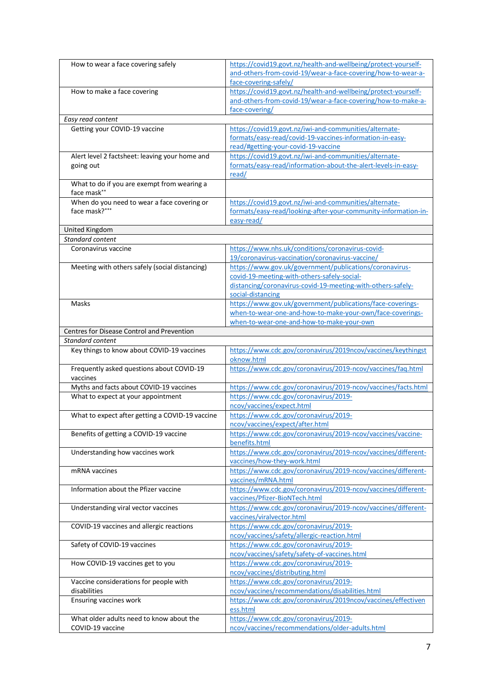| How to wear a face covering safely              | https://covid19.govt.nz/health-and-wellbeing/protect-yourself- |
|-------------------------------------------------|----------------------------------------------------------------|
|                                                 | and-others-from-covid-19/wear-a-face-covering/how-to-wear-a-   |
|                                                 | face-covering-safely/                                          |
| How to make a face covering                     | https://covid19.govt.nz/health-and-wellbeing/protect-yourself- |
|                                                 | and-others-from-covid-19/wear-a-face-covering/how-to-make-a-   |
|                                                 | face-covering/                                                 |
| Easy read content                               |                                                                |
| Getting your COVID-19 vaccine                   | https://covid19.govt.nz/iwi-and-communities/alternate-         |
|                                                 | formats/easy-read/covid-19-vaccines-information-in-easy-       |
|                                                 | read/#getting-your-covid-19-vaccine                            |
| Alert level 2 factsheet: leaving your home and  | https://covid19.govt.nz/iwi-and-communities/alternate-         |
| going out                                       | formats/easy-read/information-about-the-alert-levels-in-easy-  |
|                                                 | read/                                                          |
| What to do if you are exempt from wearing a     |                                                                |
| face mask**                                     |                                                                |
| When do you need to wear a face covering or     | https://covid19.govt.nz/iwi-and-communities/alternate-         |
| face mask?***                                   | formats/easy-read/looking-after-your-community-information-in- |
|                                                 | easy-read/                                                     |
| United Kingdom                                  |                                                                |
| Standard content                                |                                                                |
| Coronavirus vaccine                             | https://www.nhs.uk/conditions/coronavirus-covid-               |
|                                                 | 19/coronavirus-vaccination/coronavirus-vaccine/                |
| Meeting with others safely (social distancing)  | https://www.gov.uk/government/publications/coronavirus-        |
|                                                 | covid-19-meeting-with-others-safely-social-                    |
|                                                 | distancing/coronavirus-covid-19-meeting-with-others-safely-    |
|                                                 | social-distancing                                              |
| Masks                                           | https://www.gov.uk/government/publications/face-coverings-     |
|                                                 | when-to-wear-one-and-how-to-make-your-own/face-coverings-      |
|                                                 | when-to-wear-one-and-how-to-make-your-own                      |
| Centres for Disease Control and Prevention      |                                                                |
| Standard content                                |                                                                |
| Key things to know about COVID-19 vaccines      | https://www.cdc.gov/coronavirus/2019ncov/vaccines/keythingst   |
|                                                 | oknow.html                                                     |
| Frequently asked questions about COVID-19       | https://www.cdc.gov/coronavirus/2019-ncov/vaccines/faq.html    |
| vaccines                                        |                                                                |
| Myths and facts about COVID-19 vaccines         | https://www.cdc.gov/coronavirus/2019-ncov/vaccines/facts.html  |
| What to expect at your appointment              | https://www.cdc.gov/coronavirus/2019-                          |
|                                                 | ncov/vaccines/expect.html                                      |
| What to expect after getting a COVID-19 vaccine | https://www.cdc.gov/coronavirus/2019-                          |
|                                                 | ncov/vaccines/expect/after.html                                |
| Benefits of getting a COVID-19 vaccine          | https://www.cdc.gov/coronavirus/2019-ncov/vaccines/vaccine-    |
|                                                 | benefits.html                                                  |
| Understanding how vaccines work                 | https://www.cdc.gov/coronavirus/2019-ncov/vaccines/different-  |
|                                                 | vaccines/how-they-work.html                                    |
| mRNA vaccines                                   | https://www.cdc.gov/coronavirus/2019-ncov/vaccines/different-  |
|                                                 | vaccines/mRNA.html                                             |
| Information about the Pfizer vaccine            | https://www.cdc.gov/coronavirus/2019-ncov/vaccines/different-  |
|                                                 | vaccines/Pfizer-BioNTech.html                                  |
| Understanding viral vector vaccines             | https://www.cdc.gov/coronavirus/2019-ncov/vaccines/different-  |
|                                                 | vaccines/viralvector.html                                      |
| COVID-19 vaccines and allergic reactions        | https://www.cdc.gov/coronavirus/2019-                          |
|                                                 | ncov/vaccines/safety/allergic-reaction.html                    |
| Safety of COVID-19 vaccines                     | https://www.cdc.gov/coronavirus/2019-                          |
|                                                 | ncov/vaccines/safety/safety-of-vaccines.html                   |
| How COVID-19 vaccines get to you                | https://www.cdc.gov/coronavirus/2019-                          |
|                                                 | ncov/vaccines/distributing.html                                |
| Vaccine considerations for people with          | https://www.cdc.gov/coronavirus/2019-                          |
| disabilities                                    | ncov/vaccines/recommendations/disabilities.html                |
| Ensuring vaccines work                          | https://www.cdc.gov/coronavirus/2019ncov/vaccines/effectiven   |
|                                                 | ess.html                                                       |
| What older adults need to know about the        | https://www.cdc.gov/coronavirus/2019-                          |
| COVID-19 vaccine                                | ncov/vaccines/recommendations/older-adults.html                |